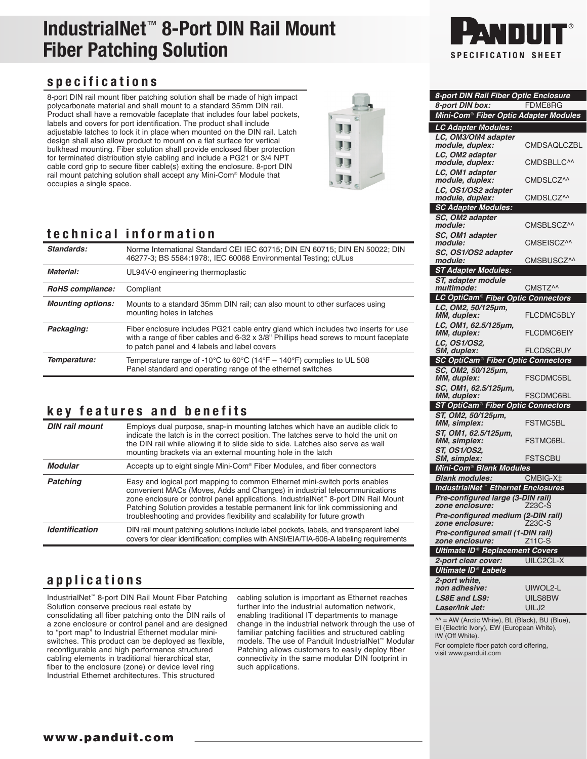# **IndustrialNet**™ **8-Port DIN Rail Mount Fiber Patching Solution SPECIFICATION** SPECIFICATION SHEET

### **specifications**

8-port DIN rail mount fiber patching solution shall be made of high impact polycarbonate material and shall mount to a standard 35mm DIN rail. Product shall have a removable faceplate that includes four label pockets, labels and covers for port identification. The product shall include adjustable latches to lock it in place when mounted on the DIN rail. Latch design shall also allow product to mount on a flat surface for vertical bulkhead mounting. Fiber solution shall provide enclosed fiber protection for terminated distribution style cabling and include a PG21 or 3/4 NPT cable cord grip to secure fiber cable(s) exiting the enclosure. 8-port DIN rail mount patching solution shall accept any Mini-Com® Module that occupies a single space.



## **technical information**

| Standards:               | Norme International Standard CEI IEC 60715; DIN EN 60715; DIN EN 50022; DIN<br>46277-3; BS 5584:1978:, IEC 60068 Environmental Testing; cULus                                                                              |
|--------------------------|----------------------------------------------------------------------------------------------------------------------------------------------------------------------------------------------------------------------------|
| Material:                | UL94V-0 engineering thermoplastic                                                                                                                                                                                          |
| RoHS compliance:         | Compliant                                                                                                                                                                                                                  |
| <b>Mounting options:</b> | Mounts to a standard 35mm DIN rail; can also mount to other surfaces using<br>mounting holes in latches                                                                                                                    |
| Packaging:               | Fiber enclosure includes PG21 cable entry gland which includes two inserts for use<br>with a range of fiber cables and 6-32 x 3/8" Phillips head screws to mount faceplate<br>to patch panel and 4 labels and label covers |
| Temperature:             | Temperature range of -10°C to 60°C (14°F – 140°F) complies to UL 508<br>Panel standard and operating range of the ethernet switches                                                                                        |

## **key features and benefits**

| <b>DIN rail mount</b> | Employs dual purpose, snap-in mounting latches which have an audible click to<br>indicate the latch is in the correct position. The latches serve to hold the unit on<br>the DIN rail while allowing it to slide side to side. Latches also serve as wall<br>mounting brackets via an external mounting hole in the latch                                                                                                    |
|-----------------------|------------------------------------------------------------------------------------------------------------------------------------------------------------------------------------------------------------------------------------------------------------------------------------------------------------------------------------------------------------------------------------------------------------------------------|
| <b>Modular</b>        | Accepts up to eight single Mini-Com <sup>®</sup> Fiber Modules, and fiber connectors                                                                                                                                                                                                                                                                                                                                         |
| <b>Patching</b>       | Easy and logical port mapping to common Ethernet mini-switch ports enables<br>convenient MACs (Moves, Adds and Changes) in industrial telecommunications<br>zone enclosure or control panel applications. IndustrialNet <sup>**</sup> 8-port DIN Rail Mount<br>Patching Solution provides a testable permanent link for link commissioning and<br>troubleshooting and provides flexibility and scalability for future growth |
| <b>Identification</b> | DIN rail mount patching solutions include label pockets, labels, and transparent label<br>covers for clear identification; complies with ANSI/EIA/TIA-606-A labeling requirements                                                                                                                                                                                                                                            |

## **applications**

IndustrialNet™ 8-port DIN Rail Mount Fiber Patching Solution conserve precious real estate by consolidating all fiber patching onto the DIN rails of a zone enclosure or control panel and are designed to "port map" to Industrial Ethernet modular miniswitches. This product can be deployed as flexible, reconfigurable and high performance structured cabling elements in traditional hierarchical star, fiber to the enclosure (zone) or device level ring Industrial Ethernet architectures. This structured

cabling solution is important as Ethernet reaches further into the industrial automation network, enabling traditional IT departments to manage change in the industrial network through the use of familiar patching facilities and structured cabling models. The use of Panduit IndustrialNet™ Modular Patching allows customers to easily deploy fiber connectivity in the same modular DIN footprint in such applications.



| 8-port DIN Rail Fiber Optic Enclosure                        |                     |
|--------------------------------------------------------------|---------------------|
| 8-port DIN box:                                              | FDME8RG             |
| Mini-Com <sup>®</sup> Fiber Optic Adapter Modules            |                     |
| LC Adapter Modules:                                          |                     |
| LC, OM3/OM4 adapter                                          | CMDSAQLCZBL         |
| module, duplex:<br>LC, OM2 adapter                           |                     |
| module, duplex:                                              | CMDSBLLC^^          |
| LC, OM1 adapter                                              |                     |
| module, duplex:                                              | CMDSLCZ^^           |
| LC, OS1/OS2 adapter<br>module, duplex:                       | CMDSLCZ^^           |
| <b>SC Adapter Modules:</b>                                   |                     |
| SC, OM2 adapter                                              |                     |
| module:                                                      | CMSBLSCZ^^          |
| SC, OM1 adapter                                              |                     |
| module:                                                      | CMSEISCZ^^          |
| SC, OS1/OS2 adapter<br>module:                               | CMSBUSCZ^^          |
| <b>ST Adapter Modules:</b>                                   |                     |
| ST, adapter module                                           |                     |
| multimode:                                                   | CMSTZ <sup>^^</sup> |
| LC OptiCam <sup>®</sup> Fiber Optic Connectors               |                     |
| LC, OM2, 50/125µm,                                           |                     |
| MM, duplex:                                                  | <b>FLCDMC5BLY</b>   |
| LC, OM1, 62.5/125µm,<br>MM, duplex:                          | <b>FLCDMC6EIY</b>   |
| LC, OS1/OS2,                                                 |                     |
| SM, duplex:                                                  | FLCDSCBUY           |
| <b>SC OptiCam<sup>®</sup> Fiber Optic Connectors</b>         |                     |
| SC, OM2, 50/125µm,<br>MM, duplex:                            | FSCDMC5BL           |
|                                                              |                     |
| SC, OM1, 62.5/125µm,<br>MM, duplex:                          | FSCDMC6BL           |
| <b>ST OptiCam<sup>®</sup> Fiber Optic Connectors</b>         |                     |
| ST, OM2, 50/125µm,                                           |                     |
| MM, simplex:<br>ST, OM1, 62.5/125µm,                         | <b>FSTMC5BL</b>     |
| MM, simplex:                                                 | <b>FSTMC6BL</b>     |
| ST, OS1/OS2,                                                 |                     |
| SM, simplex:                                                 | FSTSCBU             |
| Mini-Com <sup>®</sup> Blank Modules                          |                     |
| <b>Blank modules:</b>                                        | CMBIG-X‡            |
| <b>IndustrialNet<sup>™</sup> Ethernet Enclosures</b>         |                     |
| Pre-configured large (3-DIN rail)<br>zone enclosure:         | Z23C-S              |
| Pre-configured medium (2-DIN rail)                           |                     |
| zone enclosure:                                              | Z23C-S              |
| Pre-configured small (1-DIN rail)                            |                     |
| zone enclosure:                                              | Z11C-S              |
| <b>Ultimate ID<sup>®</sup> Replacement Covers</b>            | <b>UILC2CL-X</b>    |
| 2-port clear cover:<br><b>Ultimate ID<sup>®</sup> Labels</b> |                     |
| 2-port white,                                                |                     |
| non adhesive:                                                | UIWOL2-L            |
| <b>LS8E and LS9:</b>                                         | UILS8BW             |
| Laser/Ink Jet:                                               | UILJ2               |

 $^{\wedge\wedge}$  = AW (Arctic White), BL (Black), BU (Blue), EI (Electric Ivory), EW (European White), IW (Off White).

For complete fiber patch cord offering, visit www.panduit.com